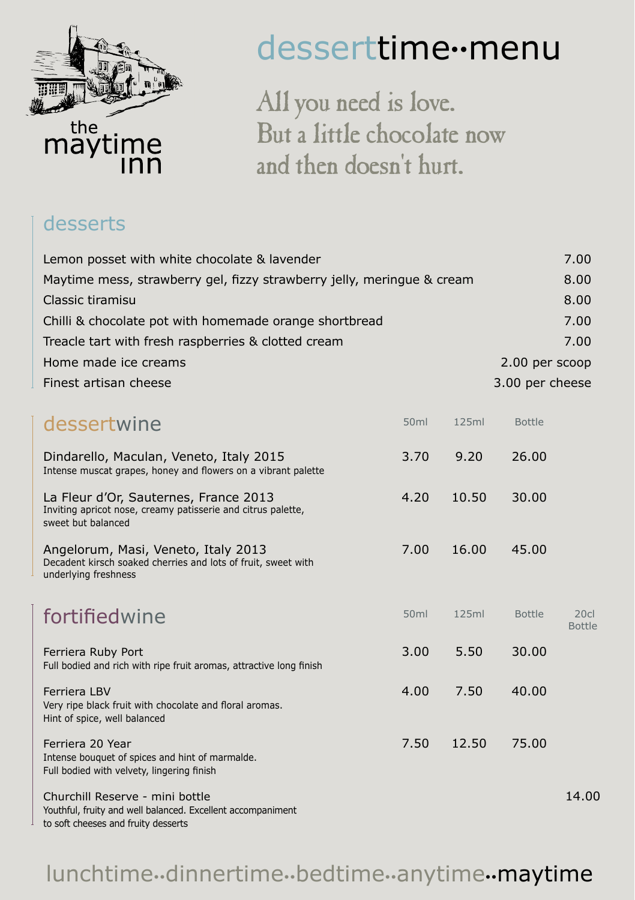

#### desserttime**..**menu

All you need is love. But a little chocolate now and then doesn't hurt.

#### desserts

| Lemon posset with white chocolate & lavender                                                                                          |                  |       |                 | 7.00                 |
|---------------------------------------------------------------------------------------------------------------------------------------|------------------|-------|-----------------|----------------------|
| Maytime mess, strawberry gel, fizzy strawberry jelly, meringue & cream                                                                |                  |       |                 | 8.00                 |
| Classic tiramisu                                                                                                                      |                  |       |                 | 8.00                 |
| Chilli & chocolate pot with homemade orange shortbread                                                                                |                  |       |                 | 7.00                 |
| Treacle tart with fresh raspberries & clotted cream                                                                                   |                  |       |                 | 7.00                 |
| Home made ice creams                                                                                                                  |                  |       | 2.00 per scoop  |                      |
| Finest artisan cheese                                                                                                                 |                  |       | 3.00 per cheese |                      |
| dessertwine                                                                                                                           | 50 <sub>ml</sub> | 125ml | <b>Bottle</b>   |                      |
| Dindarello, Maculan, Veneto, Italy 2015<br>Intense muscat grapes, honey and flowers on a vibrant palette                              | 3.70             | 9.20  | 26.00           |                      |
| La Fleur d'Or, Sauternes, France 2013<br>Inviting apricot nose, creamy patisserie and citrus palette,<br>sweet but balanced           | 4.20             | 10.50 | 30.00           |                      |
| Angelorum, Masi, Veneto, Italy 2013<br>Decadent kirsch soaked cherries and lots of fruit, sweet with<br>underlying freshness          | 7.00             | 16.00 | 45.00           |                      |
| fortifiedwine                                                                                                                         | 50 <sub>ml</sub> | 125ml | <b>Bottle</b>   | 20c<br><b>Bottle</b> |
| Ferriera Ruby Port<br>Full bodied and rich with ripe fruit aromas, attractive long finish                                             | 3.00             | 5.50  | 30.00           |                      |
| Ferriera LBV<br>Very ripe black fruit with chocolate and floral aromas.<br>Hint of spice, well balanced                               | 4.00             | 7.50  | 40.00           |                      |
| Ferriera 20 Year<br>Intense bouquet of spices and hint of marmalde.<br>Full bodied with velvety, lingering finish                     | 7.50             | 12.50 | 75.00           |                      |
| Churchill Reserve - mini bottle<br>Youthful, fruity and well balanced. Excellent accompaniment<br>to soft cheeses and fruity desserts |                  |       |                 | 14.00                |

#### lunchtime**..**dinnertime**..**bedtime**..**anytime**..**maytime